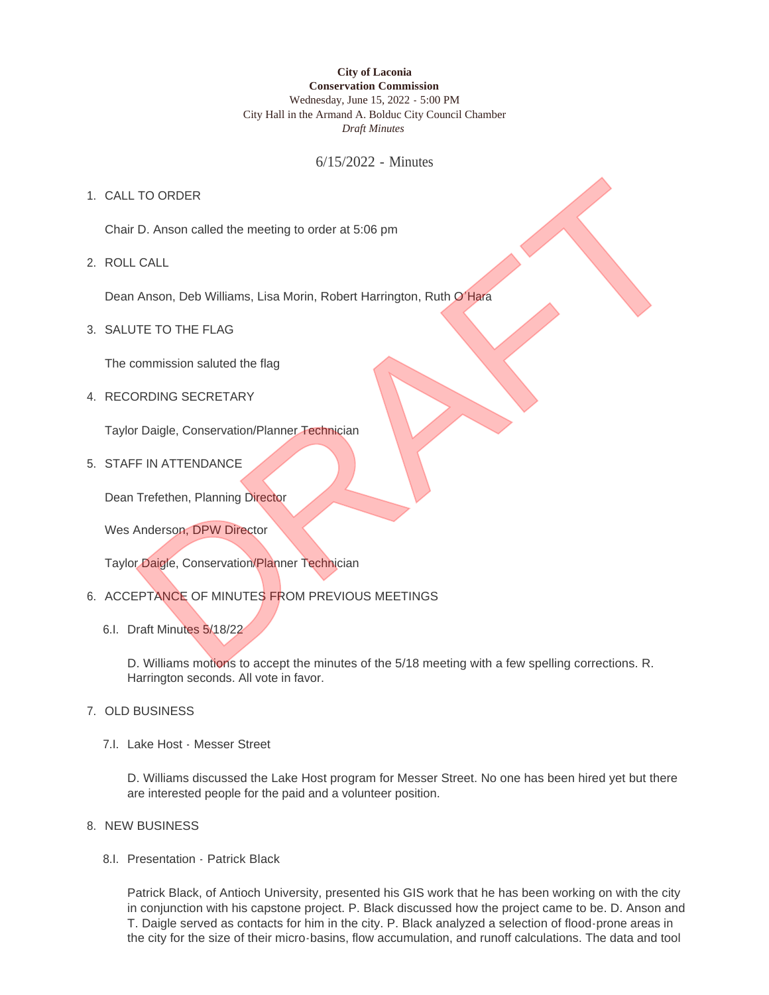### **City of Laconia Conservation Commission** Wednesday, June 15, 2022 - 5:00 PM City Hall in the Armand A. Bolduc City Council Chamber *Draft Minutes*

6/15/2022 - Minutes

# 1. CALL TO ORDER

Chair D. Anson called the meeting to order at 5:06 pm

ROLL CALL 2.

Dean Anson, Deb Williams, Lisa Morin, Robert Harrington, Ruth O'Hara

3. SALUTE TO THE FLAG

The commission saluted the flag

4. RECORDING SECRETARY

Taylor Daigle, Conservation/Planner Technician

5. STAFF IN ATTENDANCE

Dean Trefethen, Planning Director

Wes Anderson, DPW Director

Taylor Daigle, Conservation/Planner Technician

- 6. ACCEPTANCE OF MINUTES FROM PREVIOUS MEETINGS
	- 6.I. Draft Minutes 5/18/22

D. Williams motions to accept the minutes of the 5/18 meeting with a few spelling corrections. R. Harrington seconds. All vote in favor. TO ORDER<br>
D. Anson called the meeting to order at 5:06 pm<br>
CALL<br>
Anson, Deb Williams, Lisa Morin, Robert Harrington, Ruth O'Hara<br>
JTE TO THE FLAG<br>
commission saluted the flag<br>
DRDING SECRETARY<br>
FIN ATTENDANCE<br>
Trefethen, P

- 7. OLD BUSINESS
	- 7.I. Lake Host Messer Street

D. Williams discussed the Lake Host program for Messer Street. No one has been hired yet but there are interested people for the paid and a volunteer position.

#### 8. NEW BUSINESS

8.I. Presentation - Patrick Black

Patrick Black, of Antioch University, presented his GIS work that he has been working on with the city in conjunction with his capstone project. P. Black discussed how the project came to be. D. Anson and T. Daigle served as contacts for him in the city. P. Black analyzed a selection of flood-prone areas in the city for the size of their micro-basins, flow accumulation, and runoff calculations. The data and tool